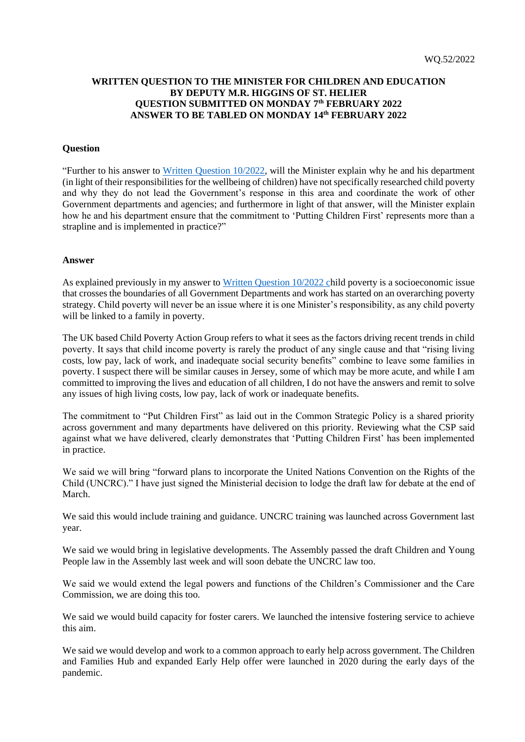## **WRITTEN QUESTION TO THE MINISTER FOR CHILDREN AND EDUCATION BY DEPUTY M.R. HIGGINS OF ST. HELIER QUESTION SUBMITTED ON MONDAY 7 th FEBRUARY 2022 ANSWER TO BE TABLED ON MONDAY 14th FEBRUARY 2022**

## **Question**

"Further to his answer to [Written Question 10/2022,](https://statesassembly.gov.je/assemblyquestions/2022/wq.10-2022.pdf) will the Minister explain why he and his department (in light of their responsibilities for the wellbeing of children) have not specifically researched child poverty and why they do not lead the Government's response in this area and coordinate the work of other Government departments and agencies; and furthermore in light of that answer, will the Minister explain how he and his department ensure that the commitment to 'Putting Children First' represents more than a strapline and is implemented in practice?"

## **Answer**

As explained previously in my answer to [Written Question 10/2022](https://statesassembly.gov.je/assemblyquestions/2022/wq.10-2022.pdf) child poverty is a socioeconomic issue that crosses the boundaries of all Government Departments and work has started on an overarching poverty strategy. Child poverty will never be an issue where it is one Minister's responsibility, as any child poverty will be linked to a family in poverty.

The UK based Child Poverty Action Group refers to what it sees as the factors driving recent trends in child poverty. It says that child income poverty is rarely the product of any single cause and that "rising living costs, low pay, lack of work, and inadequate social security benefits" combine to leave some families in poverty. I suspect there will be similar causes in Jersey, some of which may be more acute, and while I am committed to improving the lives and education of all children, I do not have the answers and remit to solve any issues of high living costs, low pay, lack of work or inadequate benefits.

The commitment to "Put Children First" as laid out in the Common Strategic Policy is a shared priority across government and many departments have delivered on this priority. Reviewing what the CSP said against what we have delivered, clearly demonstrates that 'Putting Children First' has been implemented in practice.

We said we will bring "forward plans to incorporate the United Nations Convention on the Rights of the Child (UNCRC)." I have just signed the Ministerial decision to lodge the draft law for debate at the end of March.

We said this would include training and guidance. UNCRC training was launched across Government last year.

We said we would bring in legislative developments. The Assembly passed the draft Children and Young People law in the Assembly last week and will soon debate the UNCRC law too.

We said we would extend the legal powers and functions of the Children's Commissioner and the Care Commission, we are doing this too.

We said we would build capacity for foster carers. We launched the intensive fostering service to achieve this aim.

We said we would develop and work to a common approach to early help across government. The Children and Families Hub and expanded Early Help offer were launched in 2020 during the early days of the pandemic.